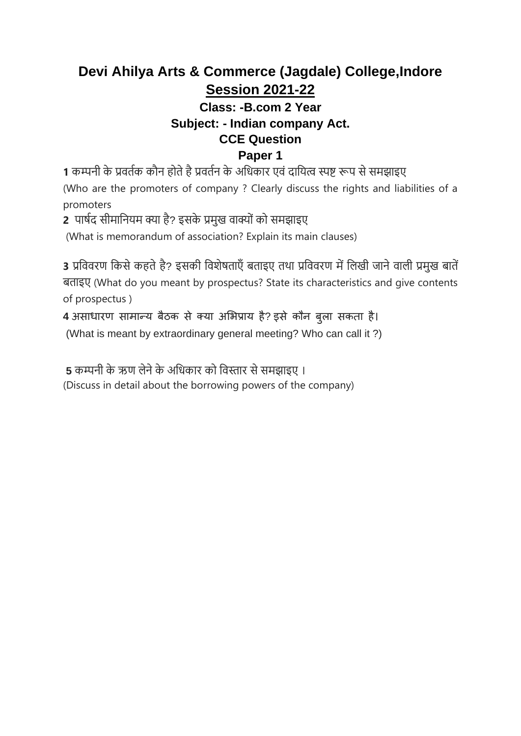# **Devi Ahilya Arts & Commerce (Jagdale) College,Indore Session 2021-22**

## **Class: -B.com 2 Year Subject: - Indian company Act. CCE Question Paper 1**

**1** कम्पनी के प्रवर्तक कौन होर्ेहैप्रवर्तन के अधिकार एवं दाधित्व स्पष्ट रूप सेसमझाइए (Who are the promoters of company ? Clearly discuss the rights and liabilities of a promoters

**2** पार्तद सीमाधनिम क्या है? इसके प्रमुख वाक्योंको समझाइए

(What is memorandum of association? Explain its main clauses)

3 प्रविवरण किसे कहते है? इसकी विशेषताएँ बताइए तथा प्रविवरण में लिखी जाने वाली प्रमुख बातें बर्ाइए (What do you meant by prospectus? State its characteristics and give contents of prospectus )

**4** असाधारण सामान्य बैठक से क्या अभिप्राय है? इसे कौन बुला सकता है।

(What is meant by extraordinary general meeting? Who can call it ?)

**5** कम्पनी के ऋण िेनेके अधिकार को धवस्तार सेसमझाइए ।

(Discuss in detail about the borrowing powers of the company)